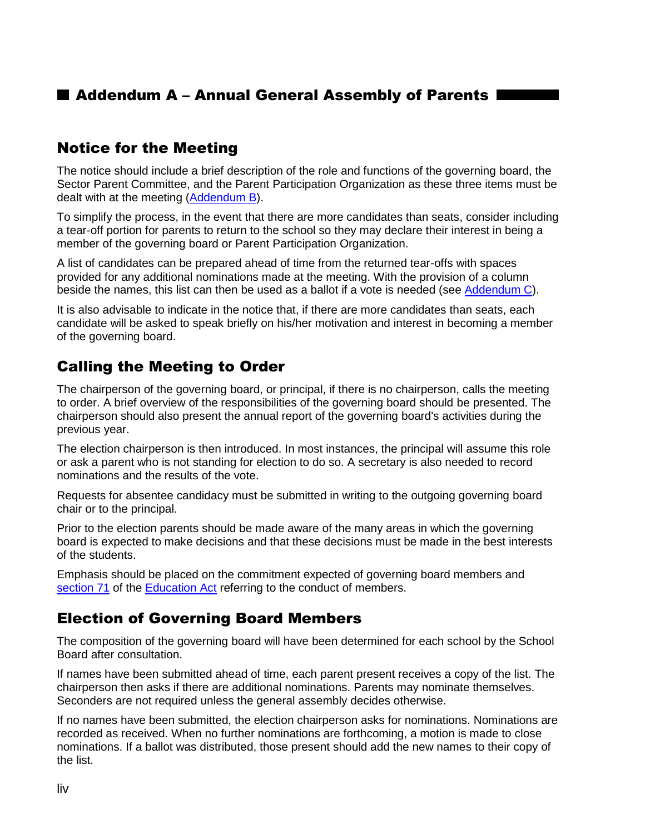## **E Addendum A – Annual General Assembly of Parents I**

#### Notice for the Meeting

The notice should include a brief description of the role and functions of the governing board, the Sector Parent Committee, and the Parent Participation Organization as these three items must be dealt with at the meeting (Addendum B).

To simplify the process, in the event that there are more candidates than seats, consider including a tear-off portion for parents to return to the school so they may declare their interest in being a member of the governing board or Parent Participation Organization.

A list of candidates can be prepared ahead of time from the returned tear-offs with spaces provided for any additional nominations made at the meeting. With the provision of a column beside the names, this list can then be used as a ballot if a vote is needed (see Addendum C).

It is also advisable to indicate in the notice that, if there are more candidates than seats, each candidate will be asked to speak briefly on his/her motivation and interest in becoming a member of the governing board.

### Calling the Meeting to Order

The chairperson of the governing board, or principal, if there is no chairperson, calls the meeting to order. A brief overview of the responsibilities of the governing board should be presented. The chairperson should also present the annual report of the governing board's activities during the previous year.

The election chairperson is then introduced. In most instances, the principal will assume this role or ask a parent who is not standing for election to do so. A secretary is also needed to record nominations and the results of the vote.

Requests for absentee candidacy must be submitted in writing to the outgoing governing board chair or to the principal.

Prior to the election parents should be made aware of the many areas in which the governing board is expected to make decisions and that these decisions must be made in the best interests of the students.

Emphasis should be placed on the commitment expected of governing board members and [section 71](http://www2.publicationsduquebec.gouv.qc.ca/dynamicSearch/telecharge.php?type=2&file=/I_13_3/I13_3_A.html#s71) of the [Education Act](http://www2.publicationsduquebec.gouv.qc.ca/dynamicSearch/telecharge.php?type=2&file=/I_13_3/I13_3_A.html) referring to the conduct of members.

#### Election of Governing Board Members

The composition of the governing board will have been determined for each school by the School Board after consultation.

If names have been submitted ahead of time, each parent present receives a copy of the list. The chairperson then asks if there are additional nominations. Parents may nominate themselves. Seconders are not required unless the general assembly decides otherwise.

If no names have been submitted, the election chairperson asks for nominations. Nominations are recorded as received. When no further nominations are forthcoming, a motion is made to close nominations. If a ballot was distributed, those present should add the new names to their copy of the list.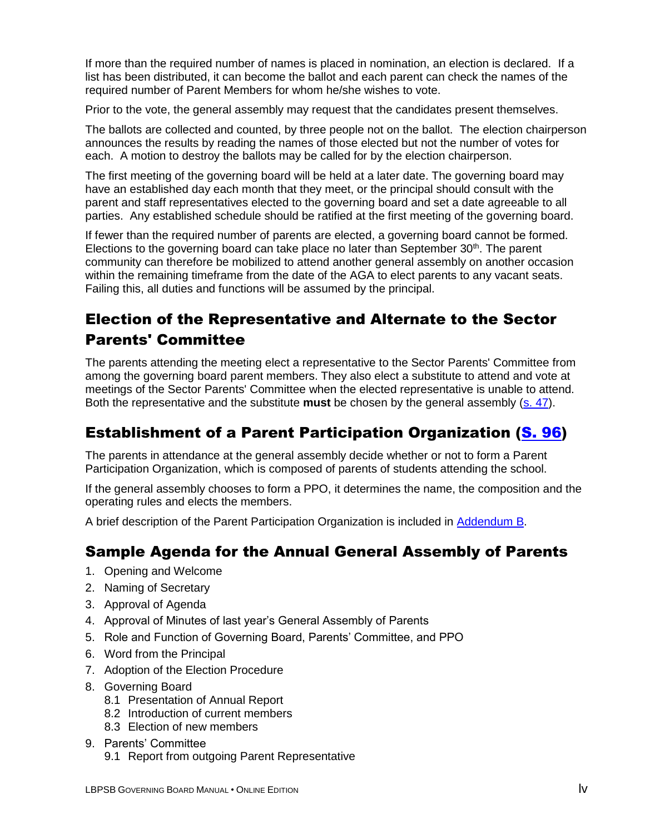If more than the required number of names is placed in nomination, an election is declared. If a list has been distributed, it can become the ballot and each parent can check the names of the required number of Parent Members for whom he/she wishes to vote.

Prior to the vote, the general assembly may request that the candidates present themselves.

The ballots are collected and counted, by three people not on the ballot. The election chairperson announces the results by reading the names of those elected but not the number of votes for each. A motion to destroy the ballots may be called for by the election chairperson.

The first meeting of the governing board will be held at a later date. The governing board may have an established day each month that they meet, or the principal should consult with the parent and staff representatives elected to the governing board and set a date agreeable to all parties. Any established schedule should be ratified at the first meeting of the governing board.

If fewer than the required number of parents are elected, a governing board cannot be formed. Elections to the governing board can take place no later than September  $30<sup>th</sup>$ . The parent community can therefore be mobilized to attend another general assembly on another occasion within the remaining timeframe from the date of the AGA to elect parents to any vacant seats. Failing this, all duties and functions will be assumed by the principal.

# Election of the Representative and Alternate to the Sector Parents' Committee

The parents attending the meeting elect a representative to the Sector Parents' Committee from among the governing board parent members. They also elect a substitute to attend and vote at meetings of the Sector Parents' Committee when the elected representative is unable to attend. Both the representative and the substitute **must** be chosen by the general assembly [\(s. 47\)](http://www2.publicationsduquebec.gouv.qc.ca/dynamicSearch/telecharge.php?type=2&file=/I_13_3/I13_3_A.html#s47).

## Establishment of a Parent Participation Organization [\(S. 96\)](http://www2.publicationsduquebec.gouv.qc.ca/dynamicSearch/telecharge.php?type=2&file=/I_13_3/I13_3_A.html#s96)

The parents in attendance at the general assembly decide whether or not to form a Parent Participation Organization, which is composed of parents of students attending the school.

If the general assembly chooses to form a PPO, it determines the name, the composition and the operating rules and elects the members.

A brief description of the Parent Participation Organization is included in Addendum B.

## Sample Agenda for the Annual General Assembly of Parents

- 1. Opening and Welcome
- 2. Naming of Secretary
- 3. Approval of Agenda
- 4. Approval of Minutes of last year's General Assembly of Parents
- 5. Role and Function of Governing Board, Parents' Committee, and PPO
- 6. Word from the Principal
- 7. Adoption of the Election Procedure
- 8. Governing Board
	- 8.1 Presentation of Annual Report
	- 8.2 Introduction of current members
	- 8.3 Election of new members
- 9. Parents' Committee 9.1 Report from outgoing Parent Representative